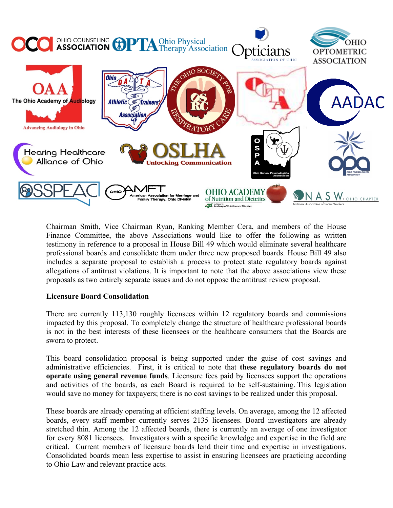

Chairman Smith, Vice Chairman Ryan, Ranking Member Cera, and members of the House Finance Committee, the above Associations would like to offer the following as written testimony in reference to a proposal in House Bill 49 which would eliminate several healthcare professional boards and consolidate them under three new proposed boards. House Bill 49 also includes a separate proposal to establish a process to protect state regulatory boards against allegations of antitrust violations. It is important to note that the above associations view these proposals as two entirely separate issues and do not oppose the antitrust review proposal.

## **Licensure Board Consolidation**

There are currently 113,130 roughly licensees within 12 regulatory boards and commissions impacted by this proposal. To completely change the structure of healthcare professional boards is not in the best interests of these licensees or the healthcare consumers that the Boards are sworn to protect.

This board consolidation proposal is being supported under the guise of cost savings and administrative efficiencies. First, it is critical to note that **these regulatory boards do not operate using general revenue funds**. Licensure fees paid by licensees support the operations and activities of the boards, as each Board is required to be self-sustaining. This legislation would save no money for taxpayers; there is no cost savings to be realized under this proposal.

These boards are already operating at efficient staffing levels. On average, among the 12 affected boards, every staff member currently serves 2135 licensees. Board investigators are already stretched thin. Among the 12 affected boards, there is currently an average of one investigator for every 8081 licensees. Investigators with a specific knowledge and expertise in the field are critical. Current members of licensure boards lend their time and expertise in investigations. Consolidated boards mean less expertise to assist in ensuring licensees are practicing according to Ohio Law and relevant practice acts.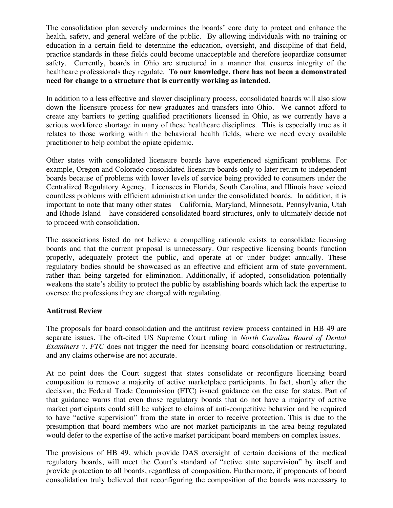The consolidation plan severely undermines the boards' core duty to protect and enhance the health, safety, and general welfare of the public. By allowing individuals with no training or education in a certain field to determine the education, oversight, and discipline of that field, practice standards in these fields could become unacceptable and therefore jeopardize consumer safety. Currently, boards in Ohio are structured in a manner that ensures integrity of the healthcare professionals they regulate. **To our knowledge, there has not been a demonstrated need for change to a structure that is currently working as intended.**

In addition to a less effective and slower disciplinary process, consolidated boards will also slow down the licensure process for new graduates and transfers into Ohio. We cannot afford to create any barriers to getting qualified practitioners licensed in Ohio, as we currently have a serious workforce shortage in many of these healthcare disciplines. This is especially true as it relates to those working within the behavioral health fields, where we need every available practitioner to help combat the opiate epidemic.

Other states with consolidated licensure boards have experienced significant problems. For example, Oregon and Colorado consolidated licensure boards only to later return to independent boards because of problems with lower levels of service being provided to consumers under the Centralized Regulatory Agency. Licensees in Florida, South Carolina, and Illinois have voiced countless problems with efficient administration under the consolidated boards. In addition, it is important to note that many other states – California, Maryland, Minnesota, Pennsylvania, Utah and Rhode Island – have considered consolidated board structures, only to ultimately decide not to proceed with consolidation.

The associations listed do not believe a compelling rationale exists to consolidate licensing boards and that the current proposal is unnecessary. Our respective licensing boards function properly, adequately protect the public, and operate at or under budget annually. These regulatory bodies should be showcased as an effective and efficient arm of state government, rather than being targeted for elimination. Additionally, if adopted, consolidation potentially weakens the state's ability to protect the public by establishing boards which lack the expertise to oversee the professions they are charged with regulating.

## **Antitrust Review**

The proposals for board consolidation and the antitrust review process contained in HB 49 are separate issues. The oft-cited US Supreme Court ruling in *North Carolina Board of Dental Examiners v. FTC* does not trigger the need for licensing board consolidation or restructuring, and any claims otherwise are not accurate.

At no point does the Court suggest that states consolidate or reconfigure licensing board composition to remove a majority of active marketplace participants. In fact, shortly after the decision, the Federal Trade Commission (FTC) issued guidance on the case for states. Part of that guidance warns that even those regulatory boards that do not have a majority of active market participants could still be subject to claims of anti-competitive behavior and be required to have "active supervision" from the state in order to receive protection. This is due to the presumption that board members who are not market participants in the area being regulated would defer to the expertise of the active market participant board members on complex issues.

The provisions of HB 49, which provide DAS oversight of certain decisions of the medical regulatory boards, will meet the Court's standard of "active state supervision" by itself and provide protection to all boards, regardless of composition. Furthermore, if proponents of board consolidation truly believed that reconfiguring the composition of the boards was necessary to